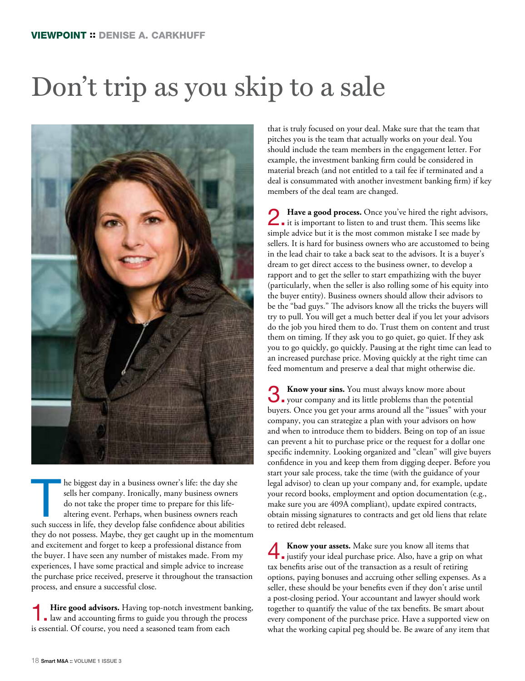## Don't trip as you skip to a sale



The biggest day in a business owner's life: the day she sells her company. Ironically, many business owners do not take the proper time to prepare for this life-<br>altering event. Perhaps, when business owners reach such suc sells her company. Ironically, many business owners do not take the proper time to prepare for this lifealtering event. Perhaps, when business owners reach they do not possess. Maybe, they get caught up in the momentum and excitement and forget to keep a professional distance from the buyer. I have seen any number of mistakes made. From my experiences, I have some practical and simple advice to increase the purchase price received, preserve it throughout the transaction process, and ensure a successful close.

**1. Hire good advisors.** Having top-notch investment banking, law and accounting firms to guide you through the process is essential. Of course, you need a seasoned team from each

that is truly focused on your deal. Make sure that the team that pitches you is the team that actually works on your deal. You should include the team members in the engagement letter. For example, the investment banking firm could be considered in material breach (and not entitled to a tail fee if terminated and a deal is consummated with another investment banking firm) if key members of the deal team are changed.

**2. Have a good process.** Once you've hired the right advisors, it is important to listen to and trust them. This seems like simple advice but it is the most common mistake I see made by sellers. It is hard for business owners who are accustomed to being in the lead chair to take a back seat to the advisors. It is a buyer's dream to get direct access to the business owner, to develop a rapport and to get the seller to start empathizing with the buyer (particularly, when the seller is also rolling some of his equity into the buyer entity). Business owners should allow their advisors to be the "bad guys." The advisors know all the tricks the buyers will try to pull. You will get a much better deal if you let your advisors do the job you hired them to do. Trust them on content and trust them on timing. If they ask you to go quiet, go quiet. If they ask you to go quickly, go quickly. Pausing at the right time can lead to an increased purchase price. Moving quickly at the right time can feed momentum and preserve a deal that might otherwise die.

**3** Know your sins. You must always know more about your company and its little problems than the potential buyers. Once you get your arms around all the "issues" with your company, you can strategize a plan with your advisors on how and when to introduce them to bidders. Being on top of an issue can prevent a hit to purchase price or the request for a dollar one specific indemnity. Looking organized and "clean" will give buyers confidence in you and keep them from digging deeper. Before you start your sale process, take the time (with the guidance of your legal advisor) to clean up your company and, for example, update your record books, employment and option documentation (e.g., make sure you are 409A compliant), update expired contracts, obtain missing signatures to contracts and get old liens that relate to retired debt released.

4.**Know your assets.** Make sure you know all items that justify your ideal purchase price. Also, have a grip on what tax benefits arise out of the transaction as a result of retiring options, paying bonuses and accruing other selling expenses. As a seller, these should be your benefits even if they don't arise until a post-closing period. Your accountant and lawyer should work together to quantify the value of the tax benefits. Be smart about every component of the purchase price. Have a supported view on what the working capital peg should be. Be aware of any item that